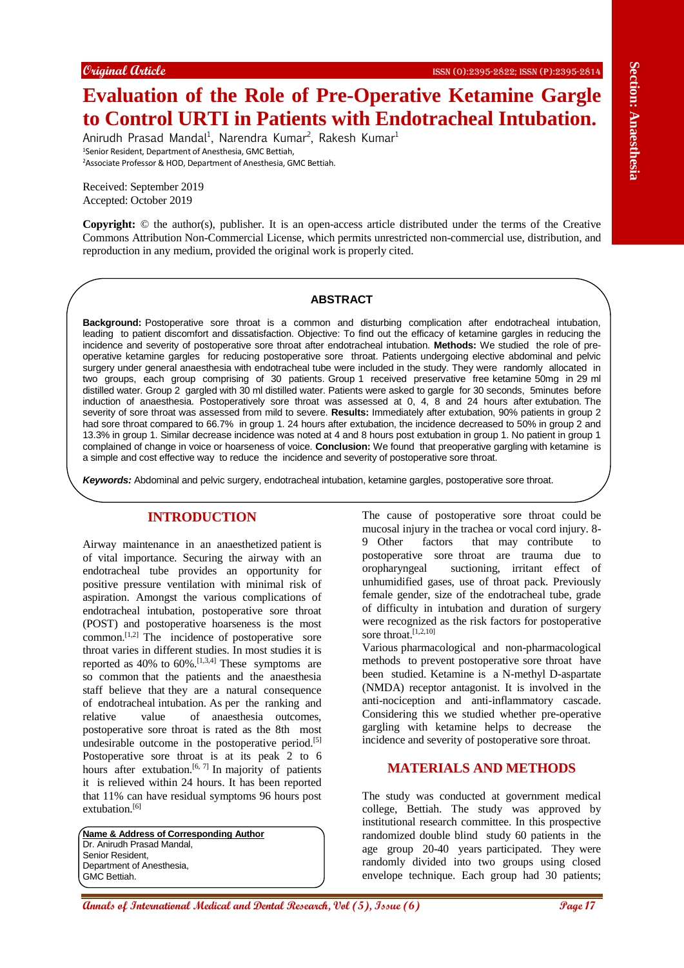# **Evaluation of the Role of Pre-Operative Ketamine Gargle to Control URTI in Patients with Endotracheal Intubation.**

Anirudh Prasad Mandal<sup>1</sup>, Narendra Kumar<sup>2</sup>, Rakesh Kumar<sup>1</sup> <sup>1</sup>Senior Resident, Department of Anesthesia, GMC Bettiah, <sup>2</sup>Associate Professor & HOD, Department of Anesthesia, GMC Bettiah.

Received: September 2019 Accepted: October 2019

**Copyright:** © the author(s), publisher. It is an open-access article distributed under the terms of the Creative Commons Attribution Non-Commercial License, which permits unrestricted non-commercial use, distribution, and reproduction in any medium, provided the original work is properly cited.

#### **ABSTRACT**

**Expand Grain of the Role of Pre-Operative Sectionness are sectionness and Explanation Control Control Control Control Control Control Control Control Control Control Control Control Control Control Control Control Contro Background:** Postoperative sore throat is a common and disturbing complication after endotracheal intubation, leading to patient discomfort and dissatisfaction. Objective: To find out the efficacy of ketamine gargles in reducing the incidence and severity of postoperative sore throat after endotracheal intubation. **Methods:** We studied the role of preoperative ketamine gargles for reducing postoperative sore throat. Patients undergoing elective abdominal and pelvic surgery under general anaesthesia with endotracheal tube were included in the study. They were randomly allocated in two groups, each group comprising of 30 patients. Group 1 received preservative free ketamine 50mg in 29 ml distilled water. Group 2 gargled with 30 ml distilled water. Patients were asked to gargle for 30 seconds, 5minutes before induction of anaesthesia. Postoperatively sore throat was assessed at 0, 4, 8 and 24 hours after extubation. The severity of sore throat was assessed from mild to severe. **Results:** Immediately after extubation, 90% patients in group 2 had sore throat compared to 66.7% in group 1. 24 hours after extubation, the incidence decreased to 50% in group 2 and 13.3% in group 1. Similar decrease incidence was noted at 4 and 8 hours post extubation in group 1. No patient in group 1 complained of change in voice or hoarseness of voice. **Conclusion:** We found that preoperative gargling with ketamine is a simple and cost effective way to reduce the incidence and severity of postoperative sore throat.

*Keywords:* Abdominal and pelvic surgery, endotracheal intubation, ketamine gargles, postoperative sore throat.

# **INTRODUCTION**

Airway maintenance in an anaesthetized patient is of vital importance. Securing the airway with an endotracheal tube provides an opportunity for positive pressure ventilation with minimal risk of aspiration. Amongst the various complications of endotracheal intubation, postoperative sore throat (POST) and postoperative hoarseness is the most common.[1,2] The incidence of postoperative sore throat varies in different studies. In most studies it is reported as  $40\%$  to  $60\%$ . [1,3,4] These symptoms are so common that the patients and the anaesthesia staff believe that they are a natural consequence of endotracheal intubation. As per the ranking and relative value of anaesthesia outcomes, postoperative sore throat is rated as the 8th most undesirable outcome in the postoperative period.<sup>[5]</sup> Postoperative sore throat is at its peak 2 to 6 hours after extubation.<sup>[6, 7]</sup> In majority of patients it is relieved within 24 hours. It has been reported that 11% can have residual symptoms 96 hours post extubation.<sup>[6]</sup>

**Name & Address of Corresponding Author** Dr. Anirudh Prasad Mandal, Senior Resident, Department of Anesthesia, GMC Bettiah.

The cause of postoperative sore throat could be mucosal injury in the trachea or vocal cord injury. 8- 9 Other factors that may contribute to postoperative sore throat are trauma due to oropharyngeal suctioning, irritant effect of unhumidified gases, use of throat pack. Previously female gender, size of the endotracheal tube, grade of difficulty in intubation and duration of surgery were recognized as the risk factors for postoperative sore throat.<sup>[1,2,10]</sup>

Various pharmacological and non-pharmacological methods to prevent postoperative sore throat have been studied. Ketamine is a N-methyl D-aspartate (NMDA) receptor antagonist. It is involved in the anti-nociception and anti-inflammatory cascade. Considering this we studied whether pre-operative gargling with ketamine helps to decrease the incidence and severity of postoperative sore throat.

# **MATERIALS AND METHODS**

The study was conducted at government medical college, Bettiah. The study was approved by institutional research committee. In this prospective randomized double blind study 60 patients in the age group 20-40 years participated. They were randomly divided into two groups using closed envelope technique. Each group had 30 patients;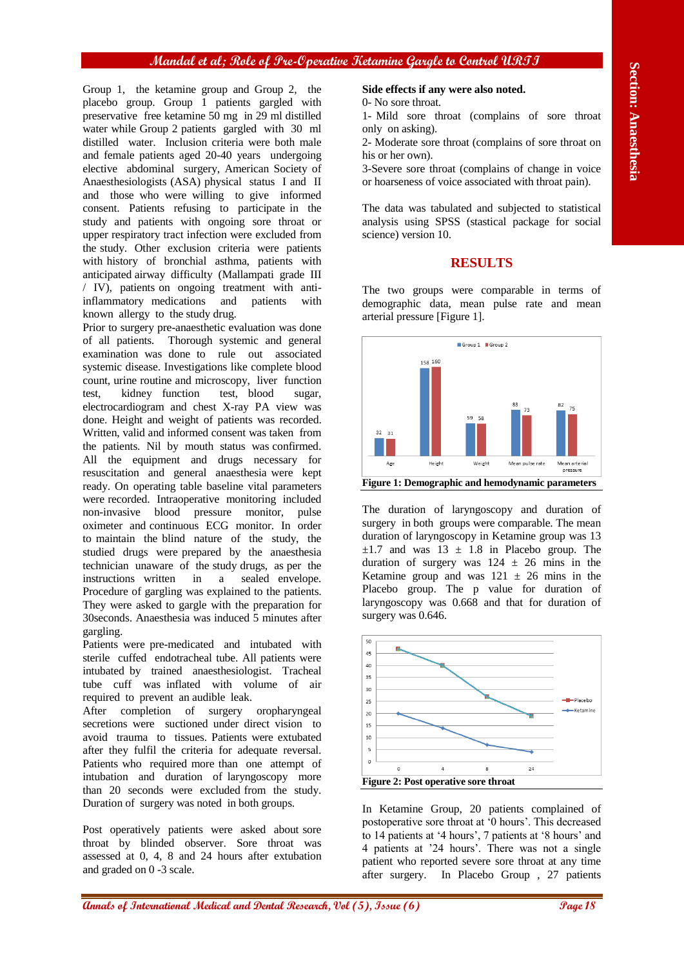# **Mandal et al; Role of Pre-Operative Ketamine Gargle to Control URTI**

Group 1, the ketamine group and Group 2, the placebo group. Group 1 patients gargled with preservative free ketamine 50 mg in 29 ml distilled water while Group 2 patients gargled with 30 ml distilled water. Inclusion criteria were both male and female patients aged 20-40 years undergoing elective abdominal surgery, American Society of Anaesthesiologists (ASA) physical status I and II and those who were willing to give informed consent. Patients refusing to participate in the study and patients with ongoing sore throat or upper respiratory tract infection were excluded from the study. Other exclusion criteria were patients with history of bronchial asthma, patients with anticipated airway difficulty (Mallampati grade III / IV), patients on ongoing treatment with antiinflammatory medications and patients with known allergy to the study drug.

**Also consider the external Medical and Constraine Constraine Constraine Constraine Constraine Constraine Constraine Constraine Constraine Constraine Constraine Constraine Constraine Constraine Constraine Constraine Const** Prior to surgery pre-anaesthetic evaluation was done of all patients. Thorough systemic and general examination was done to rule out associated systemic disease. Investigations like complete blood count, urine routine and microscopy, liver function test, kidney function test, blood sugar, electrocardiogram and chest X-ray PA view was done. Height and weight of patients was recorded. Written, valid and informed consent was taken from the patients. Nil by mouth status was confirmed. All the equipment and drugs necessary for resuscitation and general anaesthesia were kept ready. On operating table baseline vital parameters were recorded. Intraoperative monitoring included non-invasive blood pressure monitor, pulse oximeter and continuous ECG monitor. In order to maintain the blind nature of the study, the studied drugs were prepared by the anaesthesia technician unaware of the study drugs, as per the instructions written in a sealed envelope. Procedure of gargling was explained to the patients. They were asked to gargle with the preparation for 30seconds. Anaesthesia was induced 5 minutes after gargling.

Patients were pre-medicated and intubated with sterile cuffed endotracheal tube. All patients were intubated by trained anaesthesiologist. Tracheal tube cuff was inflated with volume of air required to prevent an audible leak.

After completion of surgery oropharyngeal secretions were suctioned under direct vision to avoid trauma to tissues. Patients were extubated after they fulfil the criteria for adequate reversal. Patients who required more than one attempt of intubation and duration of laryngoscopy more than 20 seconds were excluded from the study. Duration of surgery was noted in both groups.

Post operatively patients were asked about sore throat by blinded observer. Sore throat was assessed at 0, 4, 8 and 24 hours after extubation and graded on 0 -3 scale.

#### **Side effects if any were also noted.**

0- No sore throat.

1- Mild sore throat (complains of sore throat only on asking).

2- Moderate sore throat (complains of sore throat on his or her own).

3-Severe sore throat (complains of change in voice or hoarseness of voice associated with throat pain).

The data was tabulated and subjected to statistical analysis using SPSS (stastical package for social science) version 10.

# **RESULTS**

The two groups were comparable in terms of demographic data, mean pulse rate and mean arterial pressure [Figure 1].



The duration of laryngoscopy and duration of surgery in both groups were comparable. The mean duration of laryngoscopy in Ketamine group was 13  $\pm 1.7$  and was  $13 \pm 1.8$  in Placebo group. The duration of surgery was  $124 \pm 26$  mins in the Ketamine group and was  $121 \pm 26$  mins in the Placebo group. The p value for duration of laryngoscopy was 0.668 and that for duration of surgery was 0.646.



In Ketamine Group, 20 patients complained of postoperative sore throat at '0 hours'. This decreased to 14 patients at '4 hours', 7 patients at '8 hours' and 4 patients at '24 hours'. There was not a single patient who reported severe sore throat at any time after surgery. In Placebo Group , 27 patients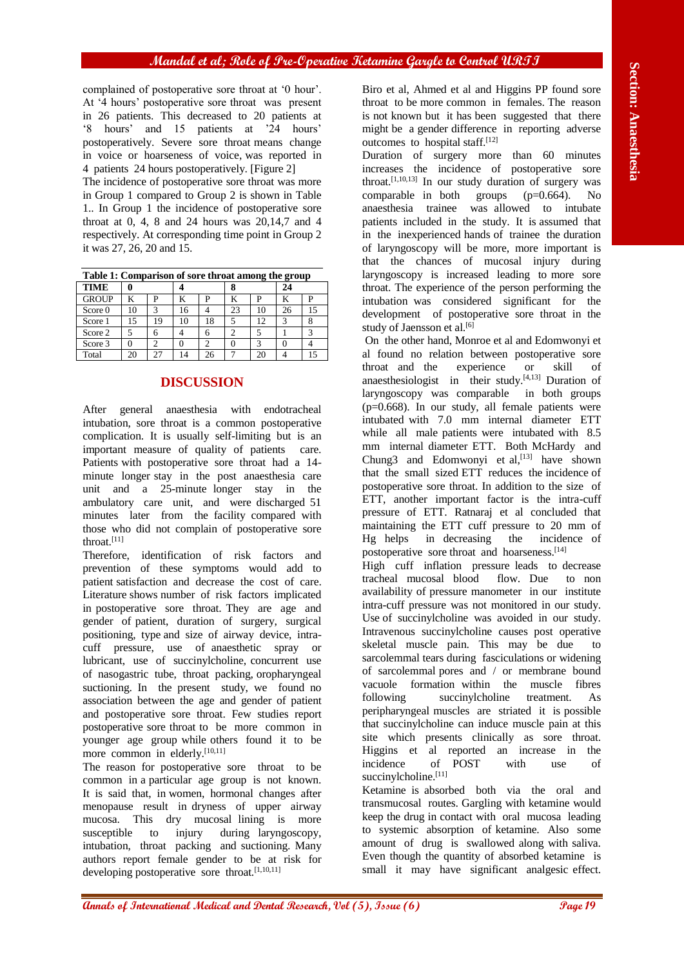complained of postoperative sore throat at '0 hour'. At '4 hours' postoperative sore throat was present in 26 patients. This decreased to 20 patients at '8 hours' and 15 patients at '24 hours' postoperatively. Severe sore throat means change in voice or hoarseness of voice, was reported in 4 patients 24 hours postoperatively. [Figure 2]

The incidence of postoperative sore throat was more in Group 1 compared to Group 2 is shown in Table 1.. In Group 1 the incidence of postoperative sore throat at  $0, 4, 8$  and  $24$  hours was  $20,14,7$  and  $4$ respectively. At corresponding time point in Group 2 it was 27, 26, 20 and 15.

| Table 1: Comparison of sore throat among the group |    |    |    |    |    |     |    |    |
|----------------------------------------------------|----|----|----|----|----|-----|----|----|
| <b>TIME</b>                                        |    |    |    |    |    |     | 24 |    |
| <b>GROUP</b>                                       |    | P  | K  | P  | K  | р   | ĸ  | P  |
| Score 0                                            | 10 | ٩  | 16 |    | 23 | 10  | 26 | 15 |
| Score 1                                            | 15 | 19 | 10 | 18 |    | 12. | 3  |    |
| Score 2                                            |    |    |    | 6  | 2  |     |    |    |
| Score 3                                            |    |    |    |    |    |     |    |    |
| Total                                              | 20 | 27 | 14 | 26 |    | 20  |    | 15 |

# **DISCUSSION**

After general anaesthesia with endotracheal intubation, sore throat is a common postoperative complication. It is usually self-limiting but is an important measure of quality of patients care. Patients with postoperative sore throat had a 14 minute longer stay in the post anaesthesia care unit and a 25-minute longer stay in the ambulatory care unit, and were discharged 51 minutes later from the facility compared with those who did not complain of postoperative sore throat.[11]

Therefore, identification of risk factors and prevention of these symptoms would add to patient satisfaction and decrease the cost of care. Literature shows number of risk factors implicated in postoperative sore throat. They are age and gender of patient, duration of surgery, surgical positioning, type and size of airway device, intracuff pressure, use of anaesthetic spray or lubricant, use of succinylcholine, concurrent use of nasogastric tube, throat packing, oropharyngeal suctioning. In the present study, we found no association between the age and gender of patient and postoperative sore throat. Few studies report postoperative sore throat to be more common in younger age group while others found it to be more common in elderly.<sup>[10,11]</sup>

The reason for postoperative sore throat to be common in a particular age group is not known. It is said that, in women, hormonal changes after menopause result in dryness of upper airway mucosa. This dry mucosal lining is more susceptible to injury during laryngoscopy, intubation, throat packing and suctioning. Many authors report female gender to be at risk for developing postoperative sore throat.<sup>[1,10,11]</sup>

Biro et al, Ahmed et al and Higgins PP found sore throat to be more common in females. The reason is not known but it has been suggested that there might be a gender difference in reporting adverse outcomes to hospital staff.<sup>[12]</sup>

Duration of surgery more than 60 minutes increases the incidence of postoperative sore throat.<sup>[1,10,13]</sup> In our study duration of surgery was comparable in both groups (p=0.664). No anaesthesia trainee was allowed to intubate patients included in the study. It is assumed that in the inexperienced hands of trainee the duration of laryngoscopy will be more, more important is that the chances of mucosal injury during laryngoscopy is increased leading to more sore throat. The experience of the person performing the intubation was considered significant for the development of postoperative sore throat in the study of Jaensson et al.<sup>[6]</sup>

On the other hand, Monroe et al and Edomwonyi et al found no relation between postoperative sore throat and the experience or skill of anaesthesiologist in their study.<sup>[4,13]</sup> Duration of laryngoscopy was comparable in both groups (p=0.668). In our study, all female patients were intubated with 7.0 mm internal diameter ETT while all male patients were intubated with 8.5 mm internal diameter ETT. Both McHardy and Chung3 and Edomwonyi et al,<sup>[13]</sup> have shown that the small sized ETT reduces the incidence of postoperative sore throat. In addition to the size of ETT, another important factor is the intra-cuff pressure of ETT. Ratnaraj et al concluded that maintaining the ETT cuff pressure to 20 mm of Hg helps in decreasing the incidence of postoperative sore throat and hoarseness.[14]

**Annals and the section of International Medical Annals and the section of International Medical Annals and The Section of International Medical Annals and The Section of International Annals and the section of Internatio** High cuff inflation pressure leads to decrease tracheal mucosal blood flow. Due to non availability of pressure manometer in our institute intra-cuff pressure was not monitored in our study. Use of succinylcholine was avoided in our study. Intravenous succinylcholine causes post operative skeletal muscle pain. This may be due to sarcolemmal tears during fasciculations or widening of sarcolemmal pores and / or membrane bound vacuole formation within the muscle fibres following succinylcholine treatment. As peripharyngeal muscles are striated it is possible that succinylcholine can induce muscle pain at this site which presents clinically as sore throat. Higgins et al reported an increase in the incidence of POST with use of incidence of POST with use of succinylcholine.<sup>[11]</sup>

Ketamine is absorbed both via the oral and transmucosal routes. Gargling with ketamine would keep the drug in contact with oral mucosa leading to systemic absorption of ketamine. Also some amount of drug is swallowed along with saliva. Even though the quantity of absorbed ketamine is small it may have significant analgesic effect.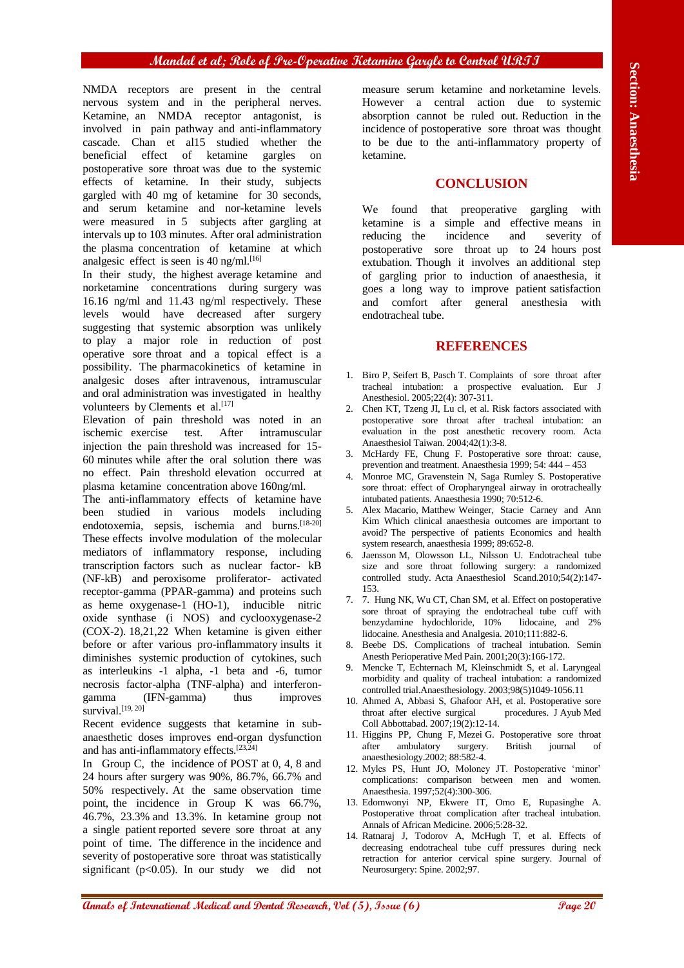# **Mandal et al; Role of Pre-Operative Ketamine Gargle to Control URTI**

NMDA receptors are present in the central nervous system and in the peripheral nerves. Ketamine, an NMDA receptor antagonist, is involved in pain pathway and anti-inflammatory cascade. Chan et al15 studied whether the beneficial effect of ketamine gargles on postoperative sore throat was due to the systemic effects of ketamine. In their study, subjects gargled with 40 mg of ketamine for 30 seconds, and serum ketamine and nor-ketamine levels were measured in 5 subjects after gargling at intervals up to 103 minutes. After oral administration the plasma concentration of ketamine at which analgesic effect is seen is 40 ng/ml.<sup>[16]</sup>

In their study, the highest average ketamine and norketamine concentrations during surgery was 16.16 ng/ml and 11.43 ng/ml respectively. These levels would have decreased after surgery suggesting that systemic absorption was unlikely to play a major role in reduction of post operative sore throat and a topical effect is a possibility. The pharmacokinetics of ketamine in analgesic doses after intravenous, intramuscular and oral administration was investigated in healthy volunteers by Clements et al.<sup>[17]</sup>

Elevation of pain threshold was noted in an ischemic exercise test. After intramuscular injection the pain threshold was increased for 15- 60 minutes while after the oral solution there was no effect. Pain threshold elevation occurred at plasma ketamine concentration above 160ng/ml.

**ANNIA** recytion of **Pacient Conservational and Dental Annals of Conservational and Dental Annals of Conservation in the pacient of the Conservation in the pacient of the Conservation in the pacient of**  $\alpha$  **is the conserv** The anti-inflammatory effects of ketamine have been studied in various models including endotoxemia, sepsis, ischemia and burns.<sup>[18-20]</sup> These effects involve modulation of the molecular mediators of inflammatory response, including transcription factors such as nuclear factor- kB (NF-kB) and peroxisome proliferator- activated receptor-gamma (PPAR-gamma) and proteins such as heme oxygenase-1 (HO-1), inducible nitric oxide synthase (i NOS) and cyclooxygenase-2 (COX-2). 18,21,22 When ketamine is given either before or after various pro-inflammatory insults it diminishes systemic production of cytokines, such as interleukins -1 alpha, -1 beta and -6, tumor necrosis factor-alpha (TNF-alpha) and interferongamma (IFN-gamma) thus improves survival.<sup>[19, 20]</sup>

Recent evidence suggests that ketamine in subanaesthetic doses improves end-organ dysfunction and has anti-inflammatory effects.[23,24]

In Group C, the incidence of POST at 0, 4, 8 and 24 hours after surgery was 90%, 86.7%, 66.7% and 50% respectively. At the same observation time point, the incidence in Group K was 66.7%, 46.7%, 23.3% and 13.3%. In ketamine group not a single patient reported severe sore throat at any point of time. The difference in the incidence and severity of postoperative sore throat was statistically significant ( $p < 0.05$ ). In our study we did not measure serum ketamine and norketamine levels. However a central action due to systemic absorption cannot be ruled out. Reduction in the incidence of postoperative sore throat was thought to be due to the anti-inflammatory property of ketamine.

#### **CONCLUSION**

We found that preoperative gargling with ketamine is a simple and effective means in reducing the incidence and severity of postoperative sore throat up to 24 hours post extubation. Though it involves an additional step of gargling prior to induction of anaesthesia, it goes a long way to improve patient satisfaction and comfort after general anesthesia with endotracheal tube.

# **REFERENCES**

- 1. Biro P, Seifert B, Pasch T. Complaints of sore throat after tracheal intubation: a prospective evaluation. Eur J Anesthesiol. 2005;22(4): 307-311.
- 2. Chen KT, Tzeng JI, Lu cl, et al. Risk factors associated with postoperative sore throat after tracheal intubation: an evaluation in the post anesthetic recovery room. Acta Anaesthesiol Taiwan. 2004;42(1):3-8.
- 3. McHardy FE, Chung F. Postoperative sore throat: cause, prevention and treatment. Anaesthesia 1999; 54: 444 – 453
- 4. Monroe MC, Gravenstein N, Saga Rumley S. Postoperative sore throat: effect of Oropharyngeal airway in orotracheally intubated patients. Anaesthesia 1990; 70:512-6.
- 5. Alex Macario, Matthew Weinger, Stacie Carney and Ann Kim Which clinical anaesthesia outcomes are important to avoid? The perspective of patients Economics and health system research, anaesthesia 1999; 89:652-8.
- 6. Jaensson M, Olowsson LL, Nilsson U. Endotracheal tube size and sore throat following surgery: a randomized controlled study. Acta Anaesthesiol Scand.2010;54(2):147- 153.
- 7. 7. Hung NK, Wu CT, Chan SM, et al. Effect on postoperative sore throat of spraying the endotracheal tube cuff with benzydamine hydochloride, 10% lidocaine, and 2% lidocaine. Anesthesia and Analgesia. 2010;111:882-6.
- 8. Beebe DS. Complications of tracheal intubation. Semin Anesth Perioperative Med Pain. 2001;20(3):166-172.
- 9. Mencke T, Echternach M, Kleinschmidt S, et al. Laryngeal morbidity and quality of tracheal intubation: a randomized controlled trial.Anaesthesiology. 2003;98(5)1049-1056.11
- 10. Ahmed A, Abbasi S, Ghafoor AH, et al. Postoperative sore throat after elective surgical procedures. J Ayub Med throat after elective surgical Coll Abbottabad. 2007;19(2):12-14.
- 11. Higgins PP, Chung F, Mezei G. Postoperative sore throat after ambulatory surgery. British journal of anaesthesiology.2002; 88:582-4.
- 12. Myles PS, Hunt JO, Moloney JT. Postoperative 'minor' complications: comparison between men and women. Anaesthesia. 1997;52(4):300-306.
- 13. Edomwonyi NP, Ekwere IT, Omo E, Rupasinghe A. Postoperative throat complication after tracheal intubation. Annals of African Medicine. 2006;5:28-32.
- 14. Ratnaraj J, Todorov A, McHugh T, et al. Effects of decreasing endotracheal tube cuff pressures during neck retraction for anterior cervical spine surgery. Journal of Neurosurgery: Spine. 2002;97.